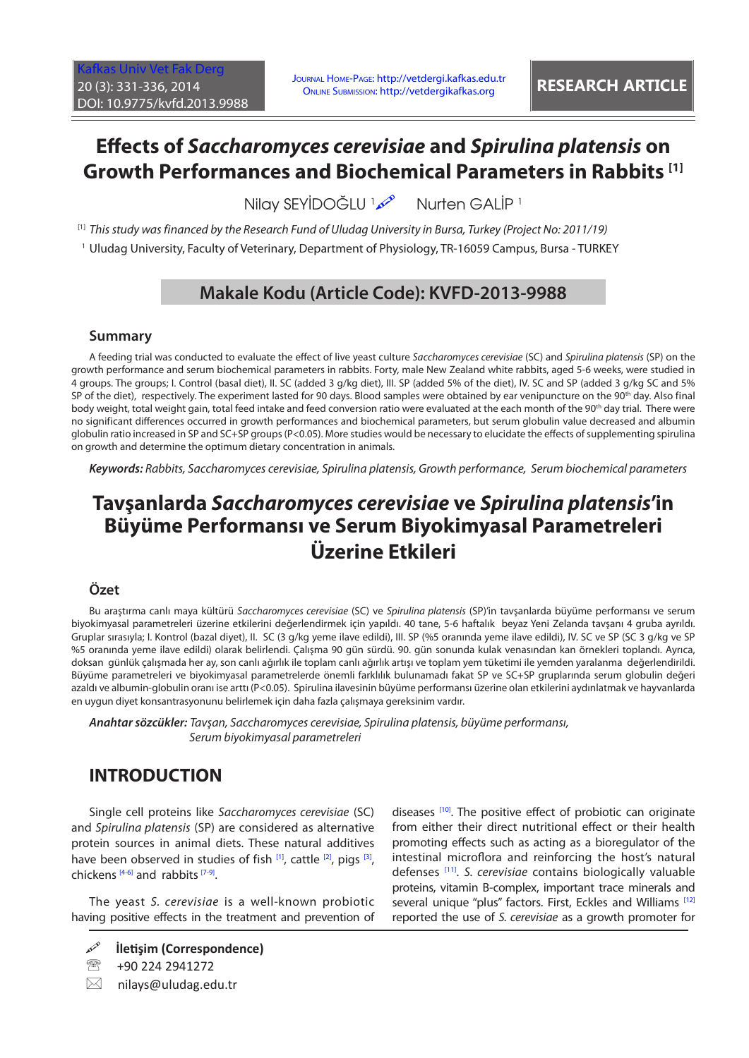# **Effects of** *Saccharomyces cerevisiae* **and** *Spirulina platensis* **on Growth Performances and Biochemical Parameters in Rabbits [1]**

**Nilay SEYİDOĞLU** Nurten GALİP <sup>1</sup>

[1] *This study was financed by the Research Fund of Uludag University in Bursa, Turkey (Project No: 2011/19)*

1 Uludag University, Faculty of Veterinary, Department of Physiology, TR-16059 Campus, Bursa - TURKEY

# **Makale Kodu (Article Code): KVFD-2013-9988**

### **Summary**

A feeding trial was conducted to evaluate the effect of live yeast culture *Saccharomyces cerevisiae* (SC) and *Spirulina platensis* (SP) on the growth performance and serum biochemical parameters in rabbits. Forty, male New Zealand white rabbits, aged 5-6 weeks, were studied in 4 groups. The groups; I. Control (basal diet), II. SC (added 3 g/kg diet), III. SP (added 5% of the diet), IV. SC and SP (added 3 g/kg SC and 5% SP of the diet), respectively. The experiment lasted for 90 days. Blood samples were obtained by ear venipuncture on the 90<sup>th</sup> day. Also final body weight, total weight gain, total feed intake and feed conversion ratio were evaluated at the each month of the 90<sup>th</sup> day trial. There were no significant differences occurred in growth performances and biochemical parameters, but serum globulin value decreased and albumin globulin ratio increased in SP and SC+SP groups (P<0.05). More studies would be necessary to elucidate the effects of supplementing spirulina on growth and determine the optimum dietary concentration in animals.

*Keywords: Rabbits, Saccharomyces cerevisiae, Spirulina platensis, Growth performance, Serum biochemical parameters*

# **Tavşanlarda** *Saccharomyces cerevisiae* **ve** *Spirulina platensis***'in Büyüme Performansı ve Serum Biyokimyasal Parametreleri Üzerine Etkileri**

## **Özet**

Bu araştırma canlı maya kültürü *Saccharomyces cerevisiae* (SC) ve *Spirulina platensis* (SP)'in tavşanlarda büyüme performansı ve serum biyokimyasal parametreleri üzerine etkilerini değerlendirmek için yapıldı. 40 tane, 5-6 haftalık beyaz Yeni Zelanda tavşanı 4 gruba ayrıldı. Gruplar sırasıyla; I. Kontrol (bazal diyet), II. SC (3 g/kg yeme ilave edildi), III. SP (%5 oranında yeme ilave edildi), IV. SC ve SP (SC 3 g/kg ve SP %5 oranında yeme ilave edildi) olarak belirlendi. Çalışma 90 gün sürdü. 90. gün sonunda kulak venasından kan örnekleri toplandı. Ayrıca, doksan günlük çalışmada her ay, son canlı ağırlık ile toplam canlı ağırlık artışı ve toplam yem tüketimi ile yemden yaralanma değerlendirildi. Büyüme parametreleri ve biyokimyasal parametrelerde önemli farklılık bulunamadı fakat SP ve SC+SP gruplarında serum globulin değeri azaldı ve albumin-globulin oranı ise arttı (P<0.05). Spirulina ilavesinin büyüme performansı üzerine olan etkilerini aydınlatmak ve hayvanlarda en uygun diyet konsantrasyonunu belirlemek için daha fazla çalışmaya gereksinim vardır.

*Anahtar sözcükler: Tavşan, Saccharomyces cerevisiae, Spirulina platensis, büyüme performansı, Serum biyokimyasal parametreleri*

## **INTRODUCTION**

Single cell proteins like *Saccharomyces cerevisiae* (SC) and *Spirulina platensis* (SP) are considered as alternative protein sources in animal diets. These natural additives have been observed in studies of fish [\[1\]](#page-4-0), cattle [[2\],](#page-4-0) pigs [3], chickens  $[4-6]$  and rabbits  $[7-9]$  $[7-9]$ .

The yeast *S. cerevisiae* is a well-known probiotic having positive effects in the treatment and prevention of diseases <sup>[10]</sup>. The positive effect of probiotic can originate from either their direct nutritional effect or their health promoting effects such as acting as a bioregulator of the intestinal microflora and reinforcing the host's natural defenses [\[11\].](#page-5-0) *S. cerevisiae* contains biologically valuable proteins, vitamin B-complex, important trace minerals and several unique "plus" factors. First, Eckles and Williams<sup>[12]</sup> reported the use of *S. cerevisiae* as a growth promoter for

**İletişim (Correspondence)**

<sup>&</sup>lt;sup>2</sup> +90 224 2941272

 $\boxtimes$  nilays@uludag.edu.tr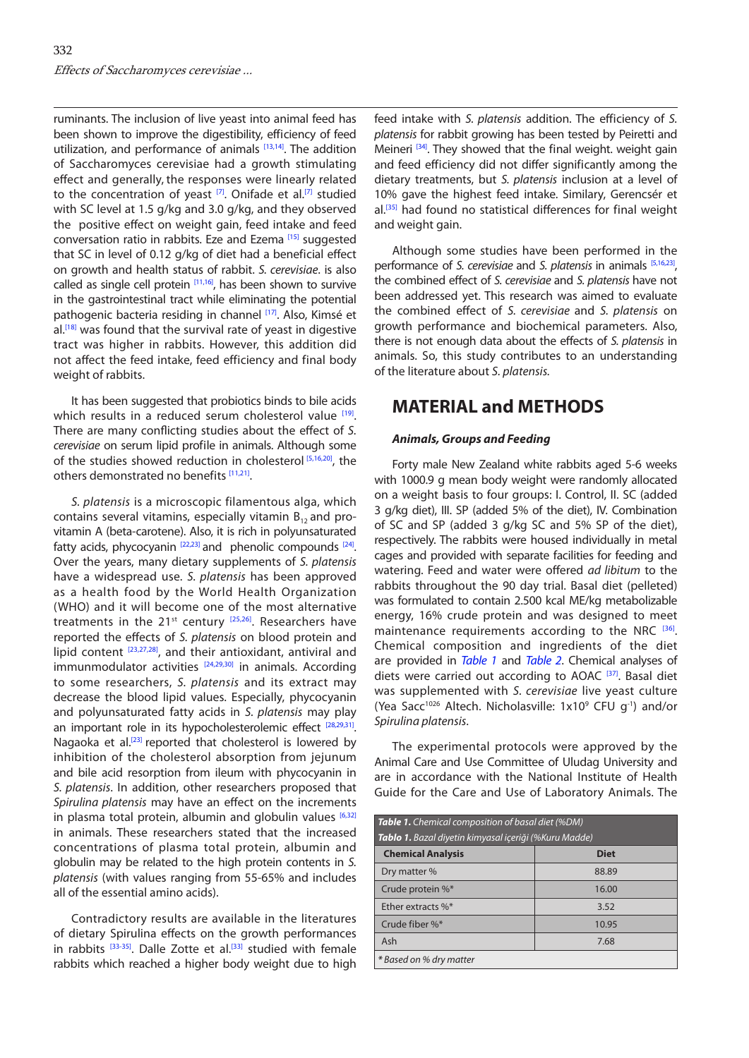ruminants. The inclusion of live yeast into animal feed has been shown to improve the digestibility, efficiency of feed utilization, and performance of animals [\[13,14\].](#page-5-0) The addition of Saccharomyces cerevisiae had a growth stimulating effect and generally, the responses were linearly related to the concentration of yeast  $[7]$  $[7]$ . Onifade et al.<sup>[7]</sup> studied with SC level at 1.5 g/kg and 3.0 g/kg, and they observed the positive effect on weight gain, feed intake and feed conversation ratio in rabbits. Eze and Ezema [\[15\]](#page-5-0) suggested that SC in level of 0.12 g/kg of diet had a beneficial effect on growth and health status of rabbit. *S. cerevisiae*. is also called as single cell protein  $[11,16]$ , has been shown to survive in the gastrointestinal tract while eliminating the potential pathogenic bacteria residing in channel [[17\].](#page-5-0) Also, Kimsé et al.<sup>[18]</sup> was found that the survival rate of yeast in digestive tract was higher in rabbits. However, this addition did not affect the feed intake, feed efficiency and final body weight of rabbits.

It has been suggested that probiotics binds to bile acids which results in a reduced serum cholesterol value [[19\].](#page-5-0) There are many conflicting studies about the effect of *S. cerevisiae* on serum lipid profile in animals. Although some of the studies showed reduction in cholesterol [\[5,16,20\],](#page-5-0) the others demonstrated no benefits [\[11,21\].](#page-5-0)

*S. platensis* is a microscopic filamentous alga, which contains several vitamins, especially vitamin  $B_{12}$  and provitamin A (beta-carotene). Also, it is rich in polyunsaturated fatty acids, phycocyanin  $[22,23]$  and phenolic compounds  $[24]$ . Over the years, many dietary supplements of *S. platensis* have a widespread use. *S. platensis* has been approved as a health food by the World Health Organization (WHO) and it will become one of the most alternative treatments in the  $21^{st}$  century  $[25,26]$ . Researchers have reported the effects of *S. platensis* on blood protein and lipid content [\[23,27,28\],](#page-5-0) and their antioxidant, antiviral and immunmodulator activities  $[24,29,30]$  in animals. According to some researchers, *S. platensis* and its extract may decrease the blood lipid values. Especially, phycocyanin and polyunsaturated fatty acids in *S. platensis* may play an important role in its hypocholesterolemic effect [[28,29,31\].](#page-5-0) Nagaoka et al.<sup>[[23\]](#page-5-0)</sup> reported that cholesterol is lowered by inhibition of the cholesterol absorption from jejunum and bile acid resorption from ileum with phycocyanin in *S. platensis*. In addition, other researchers proposed that *Spirulina platensis* may have an effect on the increments in plasma total protein, albumin and globulin values  $[6,32]$  $[6,32]$ in animals. These researchers stated that the increased concentrations of plasma total protein, albumin and globulin may be related to the high protein contents in *S. platensis* (with values ranging from 55-65% and includes all of the essential amino acids).

Contradictory results are available in the literatures of dietary Spirulina effects on the growth performances in rabbits [\[33-35\].](#page-5-0) Dalle Zotte et al.<sup>[\[33\]](#page-5-0)</sup> studied with female rabbits which reached a higher body weight due to high

feed intake with *S. platensis* addition. The efficiency of *S. platensis* for rabbit growing has been tested by Peiretti and Meineri <sup>[34]</sup>. They showed that the final weight. weight gain and feed efficiency did not differ significantly among the dietary treatments, but *S. platensis* inclusion at a level of 10% gave the highest feed intake. Similary, Gerencsér et al.<sup>[\[35\]](#page-5-0)</sup> had found no statistical differences for final weight and weight gain.

Although some studies have been performed in the performance of *S. cerevisiae* and *S. platensis* in animals <sup>[\[5,](#page-4-0)[16,23](#page-5-0)]</sup>, the combined effect of *S. cerevisiae* and *S. platensis* have not been addressed yet. This research was aimed to evaluate the combined effect of *S. cerevisiae* and *S. platensis* on growth performance and biochemical parameters. Also, there is not enough data about the effects of *S. platensis* in animals. So, this study contributes to an understanding of the literature about *S. platensis.*

## **MATERIAL and METHODS**

### *Animals, Groups and Feeding*

Forty male New Zealand white rabbits aged 5-6 weeks with 1000.9 g mean body weight were randomly allocated on a weight basis to four groups: I. Control, II. SC (added 3 g/kg diet), III. SP (added 5% of the diet), IV. Combination of SC and SP (added 3 g/kg SC and 5% SP of the diet), respectively. The rabbits were housed individually in metal cages and provided with separate facilities for feeding and watering. Feed and water were offered *ad libitum* to the rabbits throughout the 90 day trial. Basal diet (pelleted) was formulated to contain 2.500 kcal ME/kg metabolizable energy, 16% crude protein and was designed to meet maintenance requirements according to the NRC [[36\].](#page-5-0) Chemical composition and ingredients of the diet are provided in *Table 1* and *[Table 2](#page-2-0)*. Chemical analyses of diets were carried out according to AOAC [[37\].](#page-5-0) Basal diet was supplemented with *S. cerevisiae* live yeast culture (Yea Sacc<sup>1026</sup> Altech. Nicholasville:  $1x10^9$  CFU g<sup>-1</sup>) and/or *Spirulina platensis*.

The experimental protocols were approved by the Animal Care and Use Committee of Uludag University and are in accordance with the National Institute of Health Guide for the Care and Use of Laboratory Animals. The

| <b>Table 1.</b> Chemical composition of basal diet (%DM)     |             |  |  |  |
|--------------------------------------------------------------|-------------|--|--|--|
| <b>Tablo 1.</b> Bazal diyetin kimyasal içeriği (%Kuru Madde) |             |  |  |  |
| <b>Chemical Analysis</b>                                     | <b>Diet</b> |  |  |  |
| Dry matter %                                                 | 88.89       |  |  |  |
| Crude protein %*                                             | 16.00       |  |  |  |
| Ether extracts %*                                            | 3.52        |  |  |  |
| Crude fiber %*                                               | 10.95       |  |  |  |
| Ash                                                          | 7.68        |  |  |  |
| * Based on % dry matter                                      |             |  |  |  |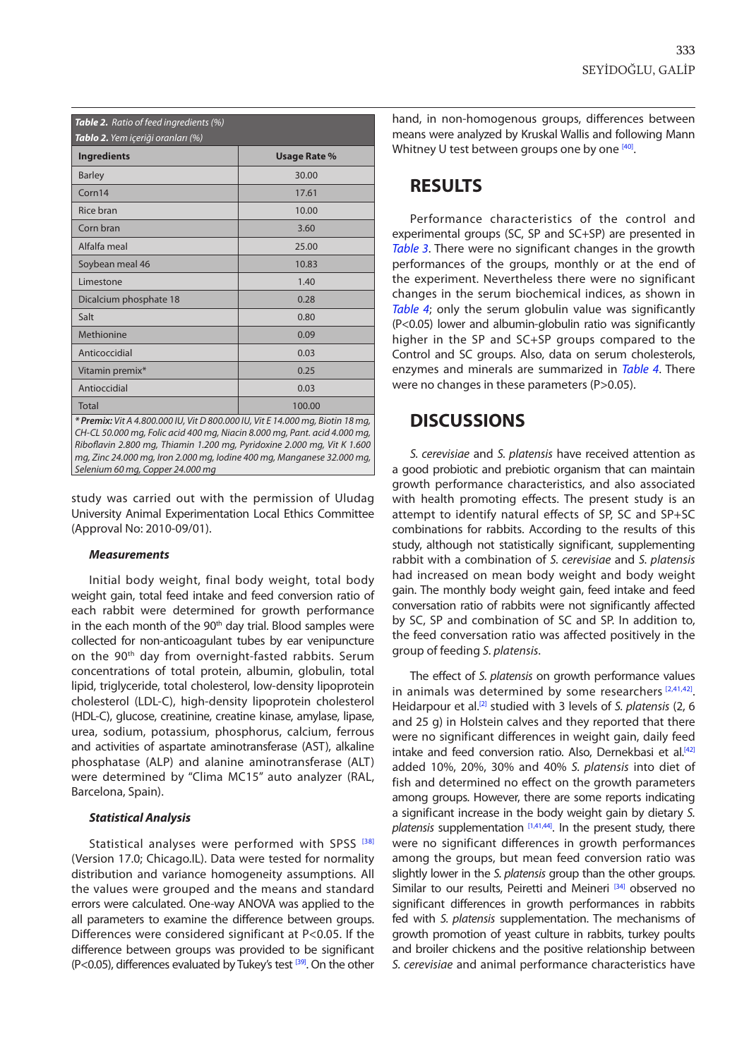<span id="page-2-0"></span>

| <b>Table 2.</b> Ratio of feed ingredients (%)<br>Tablo 2. Yem içeriği oranları (%) |                     |  |  |  |
|------------------------------------------------------------------------------------|---------------------|--|--|--|
| <b>Ingredients</b>                                                                 | <b>Usage Rate %</b> |  |  |  |
| <b>Barley</b>                                                                      | 30.00               |  |  |  |
| Corn14                                                                             | 17.61               |  |  |  |
| Rice bran                                                                          | 10.00               |  |  |  |
| Corn bran                                                                          | 3.60                |  |  |  |
| Alfalfa meal                                                                       | 25.00               |  |  |  |
| Soybean meal 46                                                                    | 10.83               |  |  |  |
| Limestone                                                                          | 1.40                |  |  |  |
| Dicalcium phosphate 18                                                             | 0.28                |  |  |  |
| Salt                                                                               | 0.80                |  |  |  |
| Methionine                                                                         | 0.09                |  |  |  |
| Anticoccidial                                                                      | 0.03                |  |  |  |
| Vitamin premix*                                                                    | 0.25                |  |  |  |
| Antioccidial                                                                       | 0.03                |  |  |  |
| <b>Total</b>                                                                       | 100.00              |  |  |  |

*Riboflavin 2.800 mg, Thiamin 1.200 mg, Pyridoxine 2.000 mg, Vit K 1.600 mg, Zinc 24.000 mg, Iron 2.000 mg, Iodine 400 mg, Manganese 32.000 mg, Selenium 60 mg, Copper 24.000 mg*

study was carried out with the permission of Uludag University Animal Experimentation Local Ethics Committee (Approval No: 2010-09/01).

#### *Measurements*

Initial body weight, final body weight, total body weight gain, total feed intake and feed conversion ratio of each rabbit were determined for growth performance in the each month of the 90<sup>th</sup> day trial. Blood samples were collected for non-anticoagulant tubes by ear venipuncture on the 90<sup>th</sup> day from overnight-fasted rabbits. Serum concentrations of total protein, albumin, globulin, total lipid, triglyceride, total cholesterol, low-density lipoprotein cholesterol (LDL-C), high-density lipoprotein cholesterol (HDL-C), glucose, creatinine, creatine kinase, amylase, lipase, urea, sodium, potassium, phosphorus, calcium, ferrous and activities of aspartate aminotransferase (AST), alkaline phosphatase (ALP) and alanine aminotransferase (ALT) were determined by "Clima MC15" auto analyzer (RAL, Barcelona, Spain).

#### *Statistical Analysis*

Statistical analyses were performed with SPSS [[38\]](#page-5-0) (Version 17.0; Chicago.IL). Data were tested for normality distribution and variance homogeneity assumptions. All the values were grouped and the means and standard errors were calculated. One-way ANOVA was applied to the all parameters to examine the difference between groups. Differences were considered significant at P<0.05. If the difference between groups was provided to be significant (P<0.05), differences evaluated by Tukey's test  $[39]$ . On the other hand, in non-homogenous groups, differences between means were analyzed by Kruskal Wallis and following Mann Whitney U test between groups one by one [\[40\].](#page-5-0)

## **RESULTS**

Performance characteristics of the control and experimental groups (SC, SP and SC+SP) are presented in *[Table 3](#page-3-0)*. There were no significant changes in the growth performances of the groups, monthly or at the end of the experiment. Nevertheless there were no significant changes in the serum biochemical indices, as shown in *[Table 4](#page-3-0)*; only the serum globulin value was significantly (P<0.05) lower and albumin-globulin ratio was significantly higher in the SP and SC+SP groups compared to the Control and SC groups. Also, data on serum cholesterols, enzymes and minerals are summarized in *[Table 4](#page-3-0)*. There were no changes in these parameters (P>0.05).

## **DISCUSSIONS**

*S. cerevisiae* and *S. platensis* have received attention as a good probiotic and prebiotic organism that can maintain growth performance characteristics, and also associated with health promoting effects. The present study is an attempt to identify natural effects of SP, SC and SP+SC combinations for rabbits. According to the results of this study, although not statistically significant, supplementing rabbit with a combination of *S. cerevisiae* and *S. platensis* had increased on mean body weight and body weight gain. The monthly body weight gain, feed intake and feed conversation ratio of rabbits were not significantly affected by SC, SP and combination of SC and SP. In addition to, the feed conversation ratio was affected positively in the group of feeding *S. platensis*.

The effect of *S. platensis* on growth performance values in animals was determined by some researchers  $[2,41,42]$  $[2,41,42]$ . Heidarpour et al.<sup>[[2\]](#page-4-0)</sup> studied with 3 levels of *S. platensis* (2, 6 and 25 g) in Holstein calves and they reported that there were no significant differences in weight gain, daily feed intake and feed conversion ratio. Also, Dernekbasi et al.<sup>[\[42\]](#page-5-0)</sup> added 10%, 20%, 30% and 40% *S. platensis* into diet of fish and determined no effect on the growth parameters among groups. However, there are some reports indicating a significant increase in the body weight gain by dietary *S.*  platensis supplementation [\[1](#page-4-0)[,41,44\].](#page-5-0) In the present study, there were no significant differences in growth performances among the groups, but mean feed conversion ratio was slightly lower in the *S. platensis* group than the other groups. Similar to our results, Peiretti and Meineri [[34\]](#page-5-0) observed no significant differences in growth performances in rabbits fed with *S. platensis* supplementation. The mechanisms of growth promotion of yeast culture in rabbits, turkey poults and broiler chickens and the positive relationship between *S. cerevisiae* and animal performance characteristics have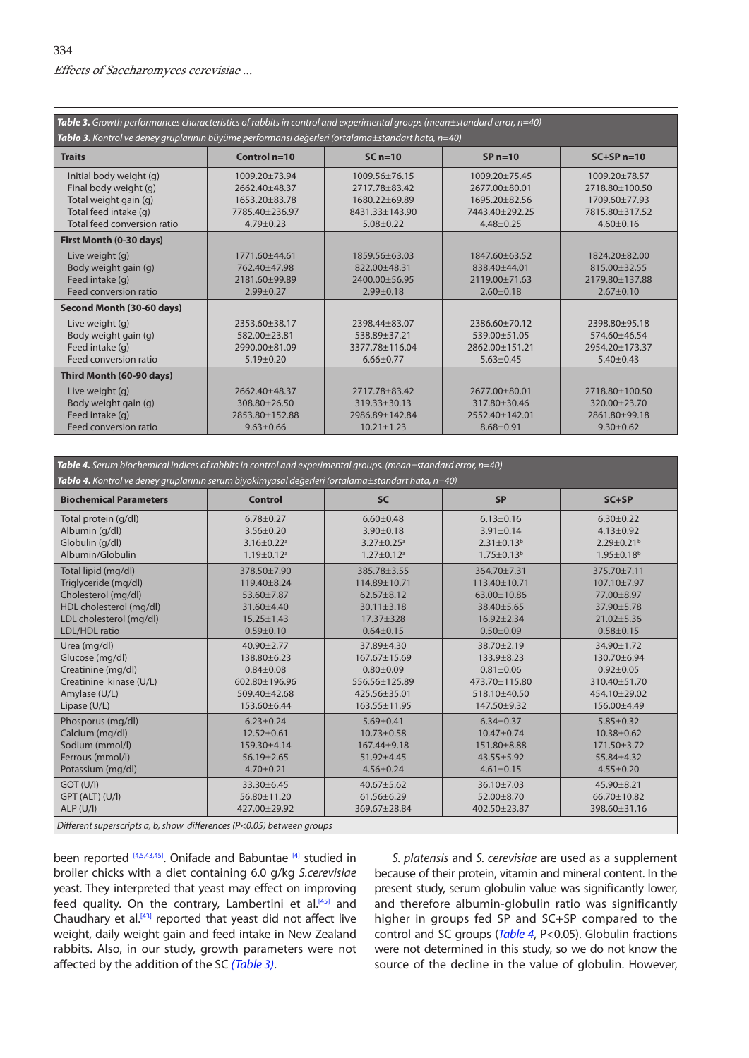<span id="page-3-0"></span>

| Table 3. Growth performances characteristics of rabbits in control and experimental groups (mean $\pm$ standard error, $n=40$ )<br>Tablo 3. Kontrol ve deney gruplarının büyüme performansı değerleri (ortalama±standart hata, n=40) |                                                                                                |                                                                                      |                                                                                              |                                                                                         |  |  |
|--------------------------------------------------------------------------------------------------------------------------------------------------------------------------------------------------------------------------------------|------------------------------------------------------------------------------------------------|--------------------------------------------------------------------------------------|----------------------------------------------------------------------------------------------|-----------------------------------------------------------------------------------------|--|--|
| <b>Traits</b>                                                                                                                                                                                                                        | Control $n=10$                                                                                 | $SCn=10$                                                                             | $SPn=10$                                                                                     | $SC+SPn=10$                                                                             |  |  |
| Initial body weight (g)<br>Final body weight (g)<br>Total weight gain (g)<br>Total feed intake (g)<br>Total feed conversion ratio                                                                                                    | $1009.20 \pm 73.94$<br>2662.40+48.37<br>$1653.20 + 83.78$<br>7785.40+236.97<br>$4.79 \pm 0.23$ | 1009.56±76.15<br>2717.78 + 83.42<br>1680.22+69.89<br>8431.33±143.90<br>$5.08 + 0.22$ | $1009.20 \pm 75.45$<br>2677.00±80.01<br>$1695.20 + 82.56$<br>7443.40+292.25<br>$4.48 + 0.25$ | 1009.20±78.57<br>2718.80±100.50<br>1709.60±77.93<br>7815.80 + 317.52<br>$4.60 \pm 0.16$ |  |  |
| First Month (0-30 days)                                                                                                                                                                                                              |                                                                                                |                                                                                      |                                                                                              |                                                                                         |  |  |
| Live weight (g)<br>Body weight gain (g)<br>Feed intake (q)<br>Feed conversion ratio                                                                                                                                                  | 1771.60±44.61<br>762.40+47.98<br>2181.60+99.89<br>$2.99 + 0.27$                                | 1859.56+63.03<br>822.00+48.31<br>2400.00 + 56.95<br>$2.99 + 0.18$                    | 1847.60+63.52<br>838.40±44.01<br>2119.00±71.63<br>$2.60 + 0.18$                              | 1824.20+82.00<br>815.00 + 32.55<br>2179.80±137.88<br>$2.67 \pm 0.10$                    |  |  |
| Second Month (30-60 days)                                                                                                                                                                                                            |                                                                                                |                                                                                      |                                                                                              |                                                                                         |  |  |
| Live weight (g)<br>Body weight gain (g)<br>Feed intake (q)<br>Feed conversion ratio                                                                                                                                                  | 2353.60 ± 38.17<br>582.00+23.81<br>2990.00 + 81.09<br>$5.19 \pm 0.20$                          | 2398.44+83.07<br>538.89+37.21<br>3377.78±116.04<br>$6.66 \pm 0.77$                   | 2386.60 ± 70.12<br>539.00+51.05<br>2862.00±151.21<br>$5.63 \pm 0.45$                         | 2398.80+95.18<br>574.60±46.54<br>2954.20±173.37<br>$5.40 \pm 0.43$                      |  |  |
| Third Month (60-90 days)                                                                                                                                                                                                             |                                                                                                |                                                                                      |                                                                                              |                                                                                         |  |  |
| Live weight (g)<br>Body weight gain (g)<br>Feed intake (q)<br>Feed conversion ratio                                                                                                                                                  | 2662.40+48.37<br>$308.80 + 26.50$<br>2853.80±152.88<br>$9.63 + 0.66$                           | 2717.78 + 83.42<br>$319.33 + 30.13$<br>2986.89±142.84<br>$10.21 \pm 1.23$            | 2677.00±80.01<br>317.80 ± 30.46<br>2552.40 ± 142.01<br>$8.68 + 0.91$                         | 2718.80±100.50<br>$320.00 + 23.70$<br>2861.80±99.18<br>$9.30 + 0.62$                    |  |  |

*Table 4. Serum biochemical indices of rabbits in control and experimental groups. (mean±standard error, n=40) Tablo 4. Kontrol ve deney gruplarının serum biyokimyasal değerleri (ortalama±standart hata, n=40)* **Biochemical Parameters Control SC SP SC+SP** Total protein (g/dl) Albumin (g/dl) Globulin (g/dl) Albumin/Globulin 6.78±0.27 3.56±0.20  $3.16 \pm 0.22$ <sup>a</sup>  $1.19 \pm 0.12$ <sup>a</sup>  $6.60 + 0.48$ 3.90±0.18  $3.27 \pm 0.25$ <sup>a</sup>  $1.27 \pm 0.12$ <sup>a</sup> 6.13±0.16 3.91±0.14  $2.31 \pm 0.13^b$  $1.75 \pm 0.13^b$ 6.30±0.22 4.13±0.92  $2.29 \pm 0.21$ <sup>b</sup> 1.95±0.18b Total lipid (mg/dl) Triglyceride (mg/dl) Cholesterol (mg/dl) HDL cholesterol (mg/dl) LDL cholesterol (mg/dl) LDL/HDL ratio 378.50±7.90 119.40±8.24 53.60±7.87 31.60±4.40 15.25±1.43 0.59±0.10 385.78±3.55 114.89±10.71 62.67±8.12 30.11±3.18 17.37±328 0.64±0.15 364.70±7.31 113.40±10.71 63.00±10.86 38.40±5.65 16.92±2.34 0.50±0.09 375.70±7.11 107.10±7.97 77.00±8.97 37.90±5.78 21.02±5.36 0.58±0.15 Urea (mg/dl) Glucose (mg/dl) Creatinine (mg/dl) Creatinine kinase (U/L) Amylase (U/L) Lipase (U/L) 40.90±2.77 138.80±6.23 0.84±0.08 602.80±196.96 509.40±42.68 153.60±6.44 37.89±4.30 167.67±15.69 0.80±0.09 556.56±125.89 425.56±35.01 163.55±11.95 38.70±2.19 133.9±8.23 0.81±0.06 473.70±115.80 518.10±40.50 147.50±9.32 34.90±1.72 130.70±6.94 0.92±0.05 310.40±51.70 454.10±29.02 156.00±4.49 Phosporus (mg/dl) Calcium (mg/dl) Sodium (mmol/l) Ferrous (mmol/l) Potassium (mg/dl) 6.23±0.24 12.52±0.61 159.30±4.14 56.19±2.65 4.70±0.21 5.69±0.41 10.73±0.58 167.44±9.18 51.92±4.45 4.56±0.24 6.34±0.37 10.47±0.74 151.80±8.88 43.55±5.92  $4.61 \pm 0.15$ 5.85±0.32 10.38±0.62 171.50±3.72 55.84±4.32 4.55±0.20 GOT (U/l) GPT (ALT) (U/l) ALP  $(11/1)$ 33.30±6.45 56.80±11.20 427.00±29.92 40.67±5.62 61.56±6.29 369.67±28.84 36.10±7.03 52.00±8.70 402.50±23.87 45.90±8.21 66.70±10.82 398.60±31.16 *Different superscripts a, b, show differences (P<0.05) between groups*

been reported [\[4,5](#page-4-0),[43,45\].](#page-5-0) Onifade and Babuntae [\[4\]](#page-4-0) studied in broiler chicks with a diet containing 6.0 g/kg *S.cerevisiae* yeast. They interpreted that yeast may effect on improving feed quality. On the contrary, Lambertini et al.<sup>[[45\]](#page-5-0)</sup> and Chaudhary et al.[\[43\]](#page-5-0) reported that yeast did not affect live weight, daily weight gain and feed intake in New Zealand rabbits. Also, in our study, growth parameters were not affected by the addition of the SC *(Table 3)*.

*S. platensis* and *S. cerevisiae* are used as a supplement because of their protein, vitamin and mineral content. In the present study, serum globulin value was significantly lower, and therefore albumin-globulin ratio was significantly higher in groups fed SP and SC+SP compared to the control and SC groups (*Table 4*, P<0.05). Globulin fractions were not determined in this study, so we do not know the source of the decline in the value of globulin. However,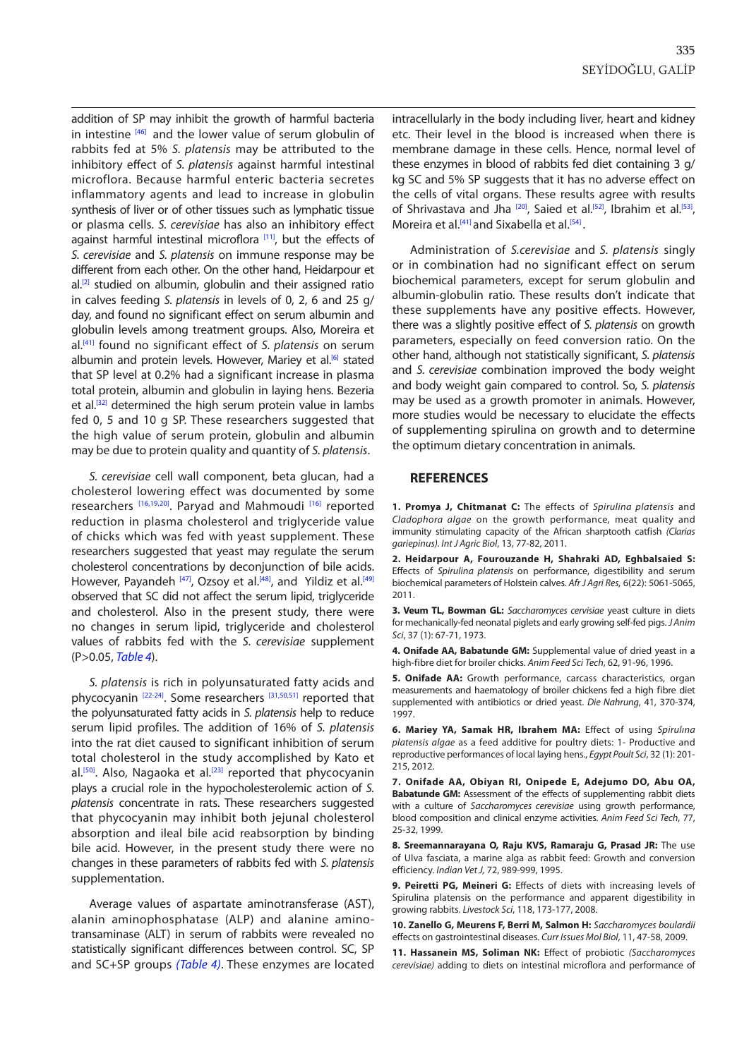<span id="page-4-0"></span>addition of SP may inhibit the growth of harmful bacteria in intestine [[46\]](#page-5-0) and the lower value of serum globulin of rabbits fed at 5% *S. platensis* may be attributed to the inhibitory effect of *S. platensis* against harmful intestinal microflora. Because harmful enteric bacteria secretes inflammatory agents and lead to increase in globulin synthesis of liver or of other tissues such as lymphatic tissue or plasma cells. *S. cerevisiae* has also an inhibitory effect against harmful intestinal microflora<sup>[11]</sup>, but the effects of *S. cerevisiae* and *S. platensis* on immune response may be different from each other. On the other hand, Heidarpour et  $al. [2]$  studied on albumin, globulin and their assigned ratio in calves feeding *S. platensis* in levels of 0, 2, 6 and 25 g/ day, and found no significant effect on serum albumin and globulin levels among treatment groups. Also, Moreira et al.[\[41\]](#page-5-0) found no significant effect of *S. platensis* on serum albumin and protein levels. However, Mariey et al.<sup>[6]</sup> stated that SP level at 0.2% had a significant increase in plasma total protein, albumin and globulin in laying hens. Bezeria et al.<sup>[\[32\]](#page-5-0)</sup> determined the high serum protein value in lambs fed 0, 5 and 10 g SP. These researchers suggested that the high value of serum protein, globulin and albumin may be due to protein quality and quantity of *S. platensis*.

*S. cerevisiae* cell wall component, beta glucan, had a cholesterol lowering effect was documented by some researchers [[16,19,20\].](#page-5-0) Paryad and Mahmoudi [[16\]](#page-5-0) reported reduction in plasma cholesterol and triglyceride value of chicks which was fed with yeast supplement. These researchers suggested that yeast may regulate the serum cholesterol concentrations by deconjunction of bile acids. However, Payandeh [\[47\],](#page-5-0) Ozsoy et al.<sup>[48]</sup>, and Yildiz et al.<sup>[\[49\]](#page-5-0)</sup> observed that SC did not affect the serum lipid, triglyceride and cholesterol. Also in the present study, there were no changes in serum lipid, triglyceride and cholesterol values of rabbits fed with the *S. cerevisiae* supplement (P>0.05, *[Table 4](#page-3-0)*).

*S. platensis* is rich in polyunsaturated fatty acids and phycocyanin [[22-24\]](#page-5-0). Some researcher[s \[31,50,51\]](#page-5-0) reported that the polyunsaturated fatty acids in *S. platensis* help to reduce serum lipid profiles. The addition of 16% of *S. platensis* into the rat diet caused to significant inhibition of serum total cholesterol in the study accomplished by Kato et al.<sup>[50]</sup>. Also, Nagaoka et al.<sup>[23]</sup> reported that phycocyanin plays a crucial role in the hypocholesterolemic action of *S. platensis* concentrate in rats. These researchers suggested that phycocyanin may inhibit both jejunal cholesterol absorption and ileal bile acid reabsorption by binding bile acid. However, in the present study there were no changes in these parameters of rabbits fed with *S. platensis* supplementation.

Average values of aspartate aminotransferase (AST), alanin aminophosphatase (ALP) and alanine aminotransaminase (ALT) in serum of rabbits were revealed no statistically significant differences between control. SC, SP and SC+SP groups *([Table 4\)](#page-3-0)*. These enzymes are located intracellularly in the body including liver, heart and kidney etc. Their level in the blood is increased when there is membrane damage in these cells. Hence, normal level of these enzymes in blood of rabbits fed diet containing 3 g/ kg SC and 5% SP suggests that it has no adverse effect on the cells of vital organs. These results agree with results of Shrivastava and Jha<sup>[20]</sup>, Saied et al.<sup>[52]</sup>, Ibrahim et al.<sup>[53]</sup>, Moreira et al.<sup>[\[41\]](#page-5-0)</sup> and Sixabella et al.<sup>[[54\]](#page-5-0)</sup>.

Administration of *S.cerevisiae* and *S. platensis* singly or in combination had no significant effect on serum biochemical parameters, except for serum globulin and albumin-globulin ratio. These results don't indicate that these supplements have any positive effects. However, there was a slightly positive effect of *S. platensis* on growth parameters, especially on feed conversion ratio. On the other hand, although not statistically significant, *S. platensis* and *S. cerevisiae* combination improved the body weight and body weight gain compared to control. So, *S. platensis* may be used as a growth promoter in animals. However, more studies would be necessary to elucidate the effects of supplementing spirulina on growth and to determine the optimum dietary concentration in animals.

#### **REFERENCES**

**1. Promya J, Chitmanat C:** The effects of *Spirulina platensis* and *Cladophora algae* on the growth performance, meat quality and immunity stimulating capacity of the African sharptooth catfish *(Clarias gariepinus). Int J Agric Biol*, 13, 77-82, 2011.

**2. Heidarpour A, Fourouzande H, Shahraki AD, Eghbalsaied S:** Effects of *Spirulina platensis* on performance, digestibility and serum biochemical parameters of Holstein calves. *Afr J Agri Res,* 6(22): 5061-5065, 2011.

**3. Veum TL, Bowman GL:** *Saccharomyces cervisiae* yeast culture in diets for mechanically-fed neonatal piglets and early growing self-fed pigs. *J Anim Sci*, 37 (1): 67-71, 1973.

**4. Onifade AA, Babatunde GM:** Supplemental value of dried yeast in a high-fibre diet for broiler chicks. *Anim Feed Sci Tech*, 62, 91-96, 1996.

**5. Onifade AA:** Growth performance, carcass characteristics, organ measurements and haematology of broiler chickens fed a high fibre diet supplemented with antibiotics or dried yeast. *Die Nahrung*, 41, 370-374, 1997.

**6. Mariey YA, Samak HR, Ibrahem MA:** Effect of using *Spirulına platensis algae* as a feed additive for poultry diets: 1- Productive and reproductive performances of local laying hens., *Egypt Poult Sci*, 32 (1): 201- 215, 2012.

**7. Onifade AA, Obiyan RI, Onipede E, Adejumo DO, Abu OA, Babatunde GM:** Assessment of the effects of supplementing rabbit diets with a culture of *Saccharomyces cerevisiae* using growth performance, blood composition and clinical enzyme activities. *Anim Feed Sci Tech*, 77, 25-32, 1999.

**8. Sreemannarayana O, Raju KVS, Ramaraju G, Prasad JR:** The use of Ulva fasciata, a marine alga as rabbit feed: Growth and conversion efficiency. *Indian Vet J,* 72, 989-999, 1995.

**9. Peiretti PG, Meineri G:** Effects of diets with increasing levels of Spirulina platensis on the performance and apparent digestibility in growing rabbits. *Livestock Sci*, 118, 173-177, 2008.

**10. Zanello G, Meurens F, Berri M, Salmon H:** *Saccharomyces boulardii*  effects on gastrointestinal diseases. *Curr Issues Mol Biol*, 11, 47-58, 2009.

**11. Hassanein MS, Soliman NK:** Effect of probiotic *(Saccharomyces cerevisiae)* adding to diets on intestinal microflora and performance of